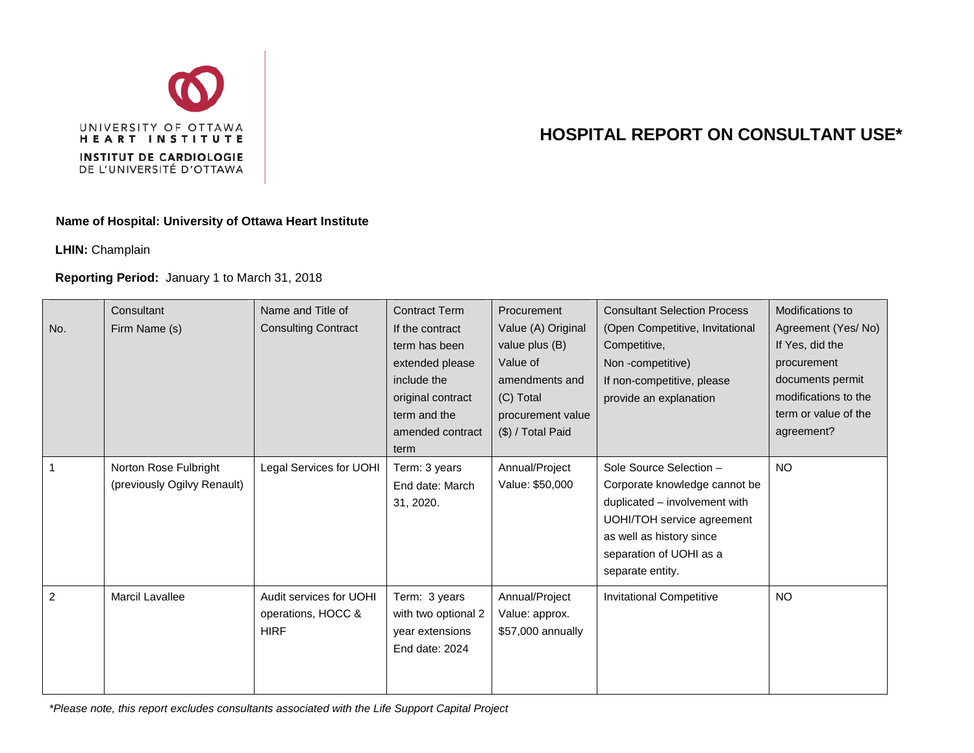

## **HOSPITAL REPORT ON CONSULTANT USE\***

## **Name of Hospital: University of Ottawa Heart Institute**

**LHIN:** Champlain

## **Reporting Period:** January 1 to March 31, 2018

| No. | Consultant<br>Firm Name (s)                          | Name and Title of<br><b>Consulting Contract</b>              | <b>Contract Term</b><br>If the contract<br>term has been<br>extended please<br>include the<br>original contract<br>term and the<br>amended contract<br>term | Procurement<br>Value (A) Original<br>value plus (B)<br>Value of<br>amendments and<br>(C) Total<br>procurement value<br>$(\$)$ / Total Paid | <b>Consultant Selection Process</b><br>(Open Competitive, Invitational<br>Competitive,<br>Non-competitive)<br>If non-competitive, please<br>provide an explanation                                 | Modifications to<br>Agreement (Yes/No)<br>If Yes, did the<br>procurement<br>documents permit<br>modifications to the<br>term or value of the<br>agreement? |
|-----|------------------------------------------------------|--------------------------------------------------------------|-------------------------------------------------------------------------------------------------------------------------------------------------------------|--------------------------------------------------------------------------------------------------------------------------------------------|----------------------------------------------------------------------------------------------------------------------------------------------------------------------------------------------------|------------------------------------------------------------------------------------------------------------------------------------------------------------|
|     | Norton Rose Fulbright<br>(previously Ogilvy Renault) | Legal Services for UOHI                                      | Term: 3 years<br>End date: March<br>31, 2020.                                                                                                               | Annual/Project<br>Value: \$50,000                                                                                                          | Sole Source Selection -<br>Corporate knowledge cannot be<br>duplicated - involvement with<br>UOHI/TOH service agreement<br>as well as history since<br>separation of UOHI as a<br>separate entity. | <b>NO</b>                                                                                                                                                  |
| 2   | Marcil Lavallee                                      | Audit services for UOHI<br>operations, HOCC &<br><b>HIRF</b> | Term: 3 years<br>with two optional 2<br>year extensions<br>End date: 2024                                                                                   | Annual/Project<br>Value: approx.<br>\$57,000 annually                                                                                      | <b>Invitational Competitive</b>                                                                                                                                                                    | <b>NO</b>                                                                                                                                                  |

*\*Please note, this report excludes consultants associated with the Life Support Capital Project*